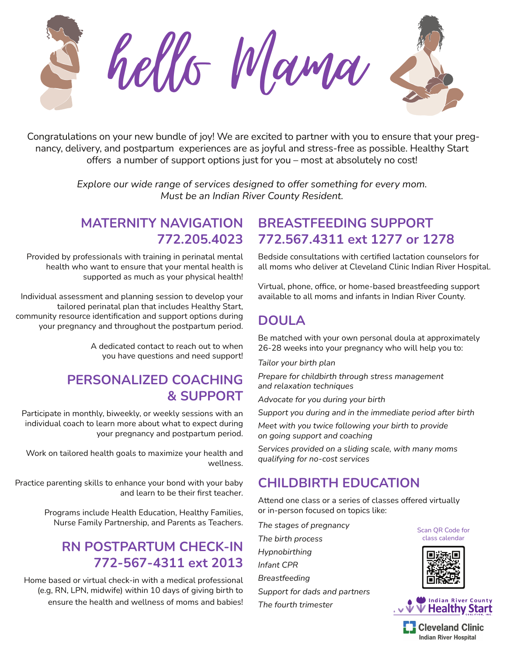

Congratulations on your new bundle of joy! We are excited to partner with you to ensure that your pregnancy, delivery, and postpartum experiences are as joyful and stress-free as possible. Healthy Start offers a number of support options just for you – most at absolutely no cost!

> *Explore our wide range of services designed to offer something for every mom. Must be an Indian River County Resident.*

### **MATERNITY NAVIGATION 772.205.4023**

Provided by professionals with training in perinatal mental health who want to ensure that your mental health is supported as much as your physical health!

Individual assessment and planning session to develop your tailored perinatal plan that includes Healthy Start, community resource identification and support options during your pregnancy and throughout the postpartum period.

> A dedicated contact to reach out to when you have questions and need support!

## **PERSONALIZED COACHING & SUPPORT**

Participate in monthly, biweekly, or weekly sessions with an individual coach to learn more about what to expect during your pregnancy and postpartum period.

Work on tailored health goals to maximize your health and wellness.

Practice parenting skills to enhance your bond with your baby and learn to be their first teacher.

> Programs include Health Education, Healthy Families, Nurse Family Partnership, and Parents as Teachers.

# **RN POSTPARTUM CHECK-IN 772-567-4311 ext 2013**

Home based or virtual check-in with a medical professional (e.g, RN, LPN, midwife) within 10 days of giving birth to ensure the health and wellness of moms and babies!

## **BREASTFEEDING SUPPORT 772.567.4311 ext 1277 or 1278**

Bedside consultations with certified lactation counselors for all moms who deliver at Cleveland Clinic Indian River Hospital.

Virtual, phone, office, or home-based breastfeeding support available to all moms and infants in Indian River County.

# **DOULA**

Be matched with your own personal doula at approximately 26-28 weeks into your pregnancy who will help you to:

*Tailor your birth plan*

*Prepare for childbirth through stress management and relaxation techniques*

*Advocate for you during your birth*

*Support you during and in the immediate period after birth*

*Meet with you twice following your birth to provide on going support and coaching*

*Services provided on a sliding scale, with many moms qualifying for no-cost services*

# **CHILDBIRTH EDUCATION**

Attend one class or a series of classes offered virtually or in-person focused on topics like:

*The stages of pregnancy The birth process Hypnobirthing Infant CPR Breastfeeding Support for dads and partners The fourth trimester*

Scan QR Code for class calendar